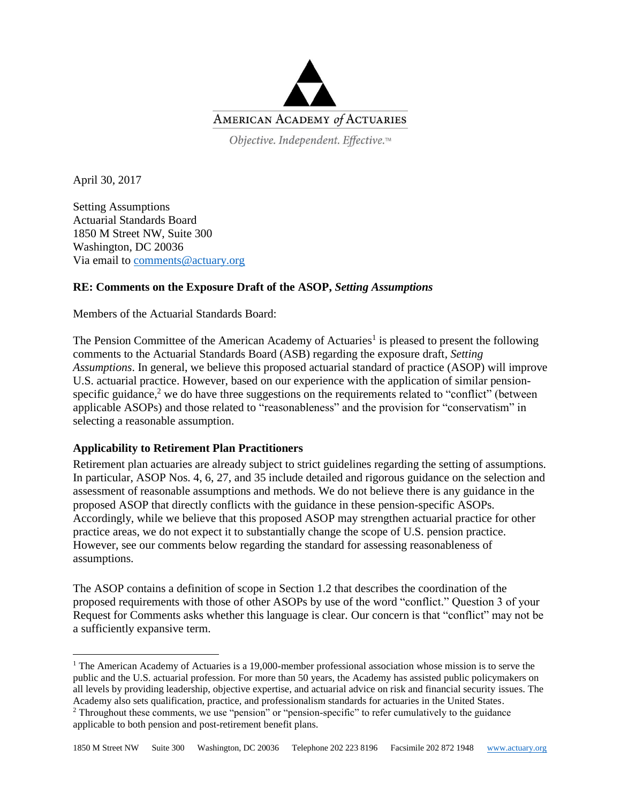

Objective. Independent. Effective.™

April 30, 2017

Setting Assumptions Actuarial Standards Board 1850 M Street NW, Suite 300 Washington, DC 20036 Via email to [comments@actuary.org](mailto:comments@actuary.org)

## **RE: Comments on the Exposure Draft of the ASOP,** *Setting Assumptions*

Members of the Actuarial Standards Board:

The Pension Committee of the American Academy of Actuaries<sup>1</sup> is pleased to present the following comments to the Actuarial Standards Board (ASB) regarding the exposure draft, *Setting Assumptions*. In general, we believe this proposed actuarial standard of practice (ASOP) will improve U.S. actuarial practice. However, based on our experience with the application of similar pensionspecific guidance,<sup>2</sup> we do have three suggestions on the requirements related to "conflict" (between applicable ASOPs) and those related to "reasonableness" and the provision for "conservatism" in selecting a reasonable assumption.

## **Applicability to Retirement Plan Practitioners**

Retirement plan actuaries are already subject to strict guidelines regarding the setting of assumptions. In particular, ASOP Nos. 4, 6, 27, and 35 include detailed and rigorous guidance on the selection and assessment of reasonable assumptions and methods. We do not believe there is any guidance in the proposed ASOP that directly conflicts with the guidance in these pension-specific ASOPs. Accordingly, while we believe that this proposed ASOP may strengthen actuarial practice for other practice areas, we do not expect it to substantially change the scope of U.S. pension practice. However, see our comments below regarding the standard for assessing reasonableness of assumptions.

The ASOP contains a definition of scope in Section 1.2 that describes the coordination of the proposed requirements with those of other ASOPs by use of the word "conflict." Question 3 of your Request for Comments asks whether this language is clear. Our concern is that "conflict" may not be a sufficiently expansive term.

l <sup>1</sup> The American Academy of Actuaries is a 19,000-member professional association whose mission is to serve the public and the U.S. actuarial profession. For more than 50 years, the Academy has assisted public policymakers on all levels by providing leadership, objective expertise, and actuarial advice on risk and financial security issues. The Academy also sets qualification, practice, and professionalism standards for actuaries in the United States. <sup>2</sup> Throughout these comments, we use "pension" or "pension-specific" to refer cumulatively to the guidance applicable to both pension and post-retirement benefit plans.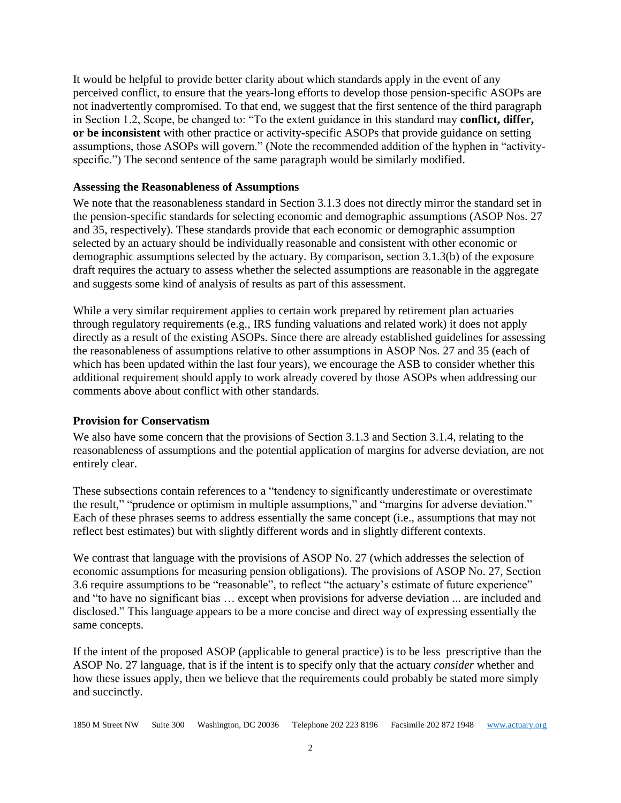It would be helpful to provide better clarity about which standards apply in the event of any perceived conflict, to ensure that the years-long efforts to develop those pension-specific ASOPs are not inadvertently compromised. To that end, we suggest that the first sentence of the third paragraph in Section 1.2, Scope, be changed to: "To the extent guidance in this standard may **conflict, differ, or be inconsistent** with other practice or activity**-**specific ASOPs that provide guidance on setting assumptions, those ASOPs will govern." (Note the recommended addition of the hyphen in "activityspecific.") The second sentence of the same paragraph would be similarly modified.

## **Assessing the Reasonableness of Assumptions**

We note that the reasonableness standard in Section 3.1.3 does not directly mirror the standard set in the pension-specific standards for selecting economic and demographic assumptions (ASOP Nos. 27 and 35, respectively). These standards provide that each economic or demographic assumption selected by an actuary should be individually reasonable and consistent with other economic or demographic assumptions selected by the actuary. By comparison, section 3.1.3(b) of the exposure draft requires the actuary to assess whether the selected assumptions are reasonable in the aggregate and suggests some kind of analysis of results as part of this assessment.

While a very similar requirement applies to certain work prepared by retirement plan actuaries through regulatory requirements (e.g., IRS funding valuations and related work) it does not apply directly as a result of the existing ASOPs. Since there are already established guidelines for assessing the reasonableness of assumptions relative to other assumptions in ASOP Nos. 27 and 35 (each of which has been updated within the last four years), we encourage the ASB to consider whether this additional requirement should apply to work already covered by those ASOPs when addressing our comments above about conflict with other standards.

## **Provision for Conservatism**

We also have some concern that the provisions of Section 3.1.3 and Section 3.1.4, relating to the reasonableness of assumptions and the potential application of margins for adverse deviation, are not entirely clear.

These subsections contain references to a "tendency to significantly underestimate or overestimate the result," "prudence or optimism in multiple assumptions," and "margins for adverse deviation." Each of these phrases seems to address essentially the same concept (i.e., assumptions that may not reflect best estimates) but with slightly different words and in slightly different contexts.

We contrast that language with the provisions of ASOP No. 27 (which addresses the selection of economic assumptions for measuring pension obligations). The provisions of ASOP No. 27, Section 3.6 require assumptions to be "reasonable", to reflect "the actuary's estimate of future experience" and "to have no significant bias … except when provisions for adverse deviation ... are included and disclosed." This language appears to be a more concise and direct way of expressing essentially the same concepts.

If the intent of the proposed ASOP (applicable to general practice) is to be less prescriptive than the ASOP No. 27 language, that is if the intent is to specify only that the actuary *consider* whether and how these issues apply, then we believe that the requirements could probably be stated more simply and succinctly.